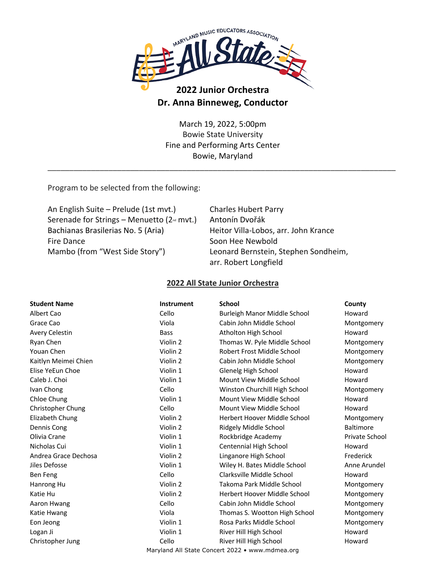

# **2022 Junior Orchestra Dr. Anna Binneweg, Conductor**

March 19, 2022, 5:00pm Bowie State University Fine and Performing Arts Center Bowie, Maryland

\_\_\_\_\_\_\_\_\_\_\_\_\_\_\_\_\_\_\_\_\_\_\_\_\_\_\_\_\_\_\_\_\_\_\_\_\_\_\_\_\_\_\_\_\_\_\_\_\_\_\_\_\_\_\_\_\_\_\_\_\_\_\_\_\_\_\_\_\_\_\_\_\_\_\_\_\_\_\_\_

Program to be selected from the following:

An English Suite – Prelude (1st mvt.) Charles Hubert Parry Serenade for Strings – Menuetto (2<sup>nd</sup> mvt.) Antonín Dvořák Bachianas Brasilerias No. 5 (Aria) Heitor Villa-Lobos, arr. John Krance Fire Dance Soon Hee Newbold Mambo (from "West Side Story") Leonard Bernstein, Stephen Sondheim,

arr. Robert Longfield

#### **2022 All State Junior Orchestra**

| <b>Student Name</b>                             | <b>Instrument</b> | <b>School</b>                 | County           |
|-------------------------------------------------|-------------------|-------------------------------|------------------|
| Albert Cao                                      | Cello             | Burleigh Manor Middle School  | Howard           |
| Grace Cao                                       | Viola             | Cabin John Middle School      | Montgomery       |
| <b>Avery Celestin</b>                           | <b>Bass</b>       | Atholton High School          | Howard           |
| Ryan Chen                                       | Violin 2          | Thomas W. Pyle Middle School  | Montgomery       |
| Youan Chen                                      | Violin 2          | Robert Frost Middle School    | Montgomery       |
| Kaitlyn Meimei Chien                            | Violin 2          | Cabin John Middle School      | Montgomery       |
| Elise YeEun Choe                                | Violin 1          | Glenelg High School           | Howard           |
| Caleb J. Choi                                   | Violin 1          | Mount View Middle School      | Howard           |
| Ivan Chong                                      | Cello             | Winston Churchill High School | Montgomery       |
| Chloe Chung                                     | Violin 1          | Mount View Middle School      | Howard           |
| Christopher Chung                               | Cello             | Mount View Middle School      | Howard           |
| Elizabeth Chung                                 | Violin 2          | Herbert Hoover Middle School  | Montgomery       |
| Dennis Cong                                     | Violin 2          | Ridgely Middle School         | <b>Baltimore</b> |
| Olivia Crane                                    | Violin 1          | Rockbridge Academy            | Private School   |
| Nicholas Cui                                    | Violin 1          | Centennial High School        | Howard           |
| Andrea Grace Dechosa                            | Violin 2          | Linganore High School         | Frederick        |
| Jiles Defosse                                   | Violin 1          | Wiley H. Bates Middle School  | Anne Arundel     |
| Ben Feng                                        | Cello             | Clarksville Middle School     | Howard           |
| Hanrong Hu                                      | Violin 2          | Takoma Park Middle School     | Montgomery       |
| Katie Hu                                        | Violin 2          | Herbert Hoover Middle School  | Montgomery       |
| Aaron Hwang                                     | Cello             | Cabin John Middle School      | Montgomery       |
| Katie Hwang                                     | Viola             | Thomas S. Wootton High School | Montgomery       |
| Eon Jeong                                       | Violin 1          | Rosa Parks Middle School      | Montgomery       |
| Logan Ji                                        | Violin 1          | River Hill High School        | Howard           |
| Christopher Jung                                | Cello             | River Hill High School        | Howard           |
| Maryland All State Concert 2022 • www.mdmea.org |                   |                               |                  |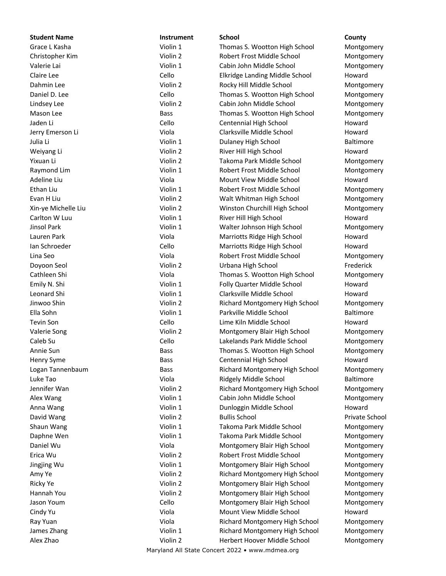**Student Name Instrument School County**

### Grace L Kasha **Violin 1** Violin 1 Thomas S. Wootton High School Montgomery Christopher Kim **Violin 2** Violin 2 Robert Frost Middle School Montgomery Valerie Lai **Violin 1** Violin 1 Cabin John Middle School Montgomery Claire Lee **Cello** Cello **Cello** Elkridge Landing Middle School Howard Dahmin Lee **Montgomery** Violin 2 Rocky Hill Middle School Montgomery Daniel D. Lee **Cello** Cello Thomas S. Wootton High School Montgomery Lindsey Lee **Montgomery** Violin 2 Cabin John Middle School Montgomery Mason Lee **Bass** Bass Thomas S. Wootton High School Montgomery Jaden Li Cello Cello Centennial High School Howard Jerry Emerson Li Viola Clarksville Middle School Howard Julia Li Violin 1 Dulaney High School Baltimore Weiyang Li **River Hill High School** Howard Howard Communist Communist Communist Communist Communist Communist Communist Communist Communist Communist Communist Communist Communist Communist Communist Communist Communist Co Yixuan Li **Nigambu 2** Takoma Park Middle School Montgomery Nigambu 2 Takoma Park Middle School Raymond Lim **No. 2018** Violin 1 Robert Frost Middle School Montgomery Adeline Liu Communication Collectivity Collection of Mount View Middle School Choward Ethan Liu **Ethan Liu Communist Club Communist Club Club Violin 1** Robert Frost Middle School Montgomery Evan H Liu **Europhy Communist Communist Communist Communist Communist Communist Communist Communist Communist Communist Communist Communist Communist Communist Communist Communist Communist Communist Communist Communist Co** Xin-ye Michelle Liu Violin 2 Winston Churchill High School Montgomery Carlton W Luu **Carlton W** Luu **Carlton W** Luu **1** River Hill High School **Howard** Jinsol Park **Violin 1** Walter Johnson High School Montgomery Monter Johnson High School Montgomery Lauren Park Viola Marriotts Ridge High School Howard Ian Schroeder Cello Marriotts Ridge High School Howard Lina Seo Viola Robert Frost Middle School Montgomery Doyoon Seol Violin 2 Urbana High School Frederick Cathleen Shi Viola Thomas S. Wootton High School Montgomery Emily N. Shi **Emily N. Shi** Company Number 2012 Violin 1 Folly Quarter Middle School Howard Leonard Shi Violin 1 Clarksville Middle School Howard Jinwoo Shin Violin 2 Richard Montgomery High School Montgomery Ella Sohn Violin 1 Parkville Middle School Baltimore Tevin Son Cello Lime Kiln Middle School Howard Valerie Song The Song Controller Controller Violin 2 Montgomery Blair High School Montgomery Caleb Su Cello Lakelands Park Middle School Montgomery Annie Sun **Bass** Bass Thomas S. Wootton High School Montgomery Henry Syme **Bass** Bass Centennial High School Howard Logan Tannenbaum **Bass** Bass **Richard Montgomery High School Montgomery** Montgomery Luke Tao Viola Ridgely Middle School Baltimore Jennifer Wan Violin 2 Richard Montgomery High School Montgomery Alex Wang **No. 2018** Violin 1 Cabin John Middle School Montgomery Anna Wang **National Industrial Communist Communist Communist Communist Communist Communist Communist Communist Communist Communist Communist Communist Communist Communist Communist Communist Communist Communist Communist C** David Wang Nicolas Communication of College Violin 2 And Bullis School Communication of Private School Communication of Private School Shaun Wang Takoma Park Middle School Montgomery Daphne Wen **Montgomery** Violin 1 Takoma Park Middle School Montgomery Daniel Wu Viola Montgomery Blair High School Montgomery Erica Wu Violin 2 Robert Frost Middle School Montgomery Jingjing Wu Violin 1 Montgomery Blair High School Montgomery Amy Ye **Auch 2** Violin 2 Richard Montgomery High School Montgomery Montgomery Ricky Ye **Montgomery Blair High School** Montgomery Blair High School Montgomery Hannah You Violin 2 Montgomery Blair High School Montgomery Jason Youm Cello Montgomery Blair High School Montgomery Cindy Yu Viola Mount View Middle School Howard Ray Yuan **Montgomery High School** Richard Montgomery High School Montgomery James Zhang North 2008 (Violin 1 North 2008) Richard Montgomery High School Nortgomery Alex Zhao **Montgomery** Violin 2 Herbert Hoover Middle School Montgomery

Maryland All State Concert 2022 • www.mdmea.org